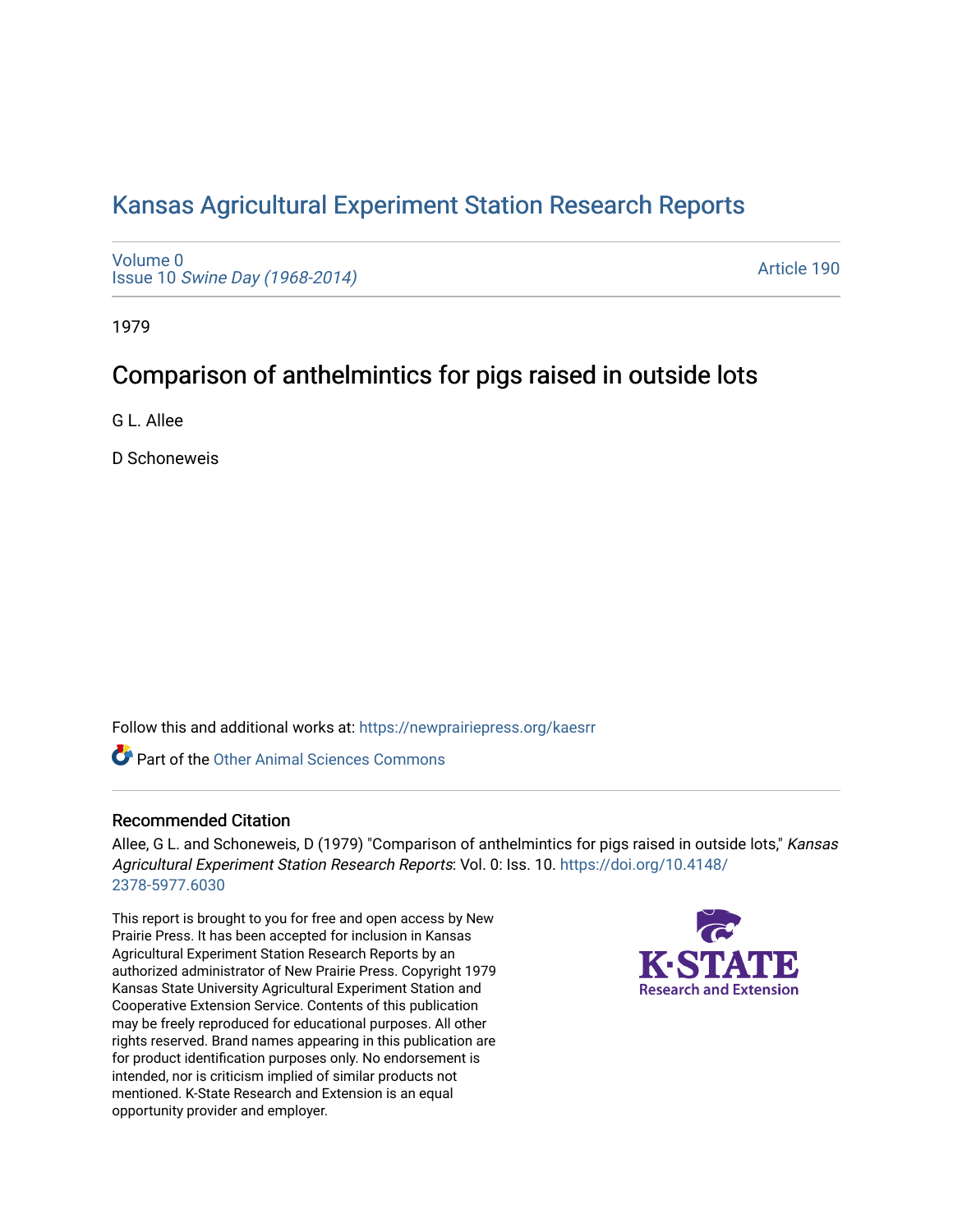## [Kansas Agricultural Experiment Station Research Reports](https://newprairiepress.org/kaesrr)

[Volume 0](https://newprairiepress.org/kaesrr/vol0) Issue 10 [Swine Day \(1968-2014\)](https://newprairiepress.org/kaesrr/vol0/iss10)

[Article 190](https://newprairiepress.org/kaesrr/vol0/iss10/190) 

1979

# Comparison of anthelmintics for pigs raised in outside lots

G L. Allee

D Schoneweis

Follow this and additional works at: [https://newprairiepress.org/kaesrr](https://newprairiepress.org/kaesrr?utm_source=newprairiepress.org%2Fkaesrr%2Fvol0%2Fiss10%2F190&utm_medium=PDF&utm_campaign=PDFCoverPages) 

**C** Part of the [Other Animal Sciences Commons](http://network.bepress.com/hgg/discipline/82?utm_source=newprairiepress.org%2Fkaesrr%2Fvol0%2Fiss10%2F190&utm_medium=PDF&utm_campaign=PDFCoverPages)

## Recommended Citation

Allee, G L. and Schoneweis, D (1979) "Comparison of anthelmintics for pigs raised in outside lots," Kansas Agricultural Experiment Station Research Reports: Vol. 0: Iss. 10. [https://doi.org/10.4148/](https://doi.org/10.4148/2378-5977.6030) [2378-5977.6030](https://doi.org/10.4148/2378-5977.6030) 

This report is brought to you for free and open access by New Prairie Press. It has been accepted for inclusion in Kansas Agricultural Experiment Station Research Reports by an authorized administrator of New Prairie Press. Copyright 1979 Kansas State University Agricultural Experiment Station and Cooperative Extension Service. Contents of this publication may be freely reproduced for educational purposes. All other rights reserved. Brand names appearing in this publication are for product identification purposes only. No endorsement is intended, nor is criticism implied of similar products not mentioned. K-State Research and Extension is an equal opportunity provider and employer.

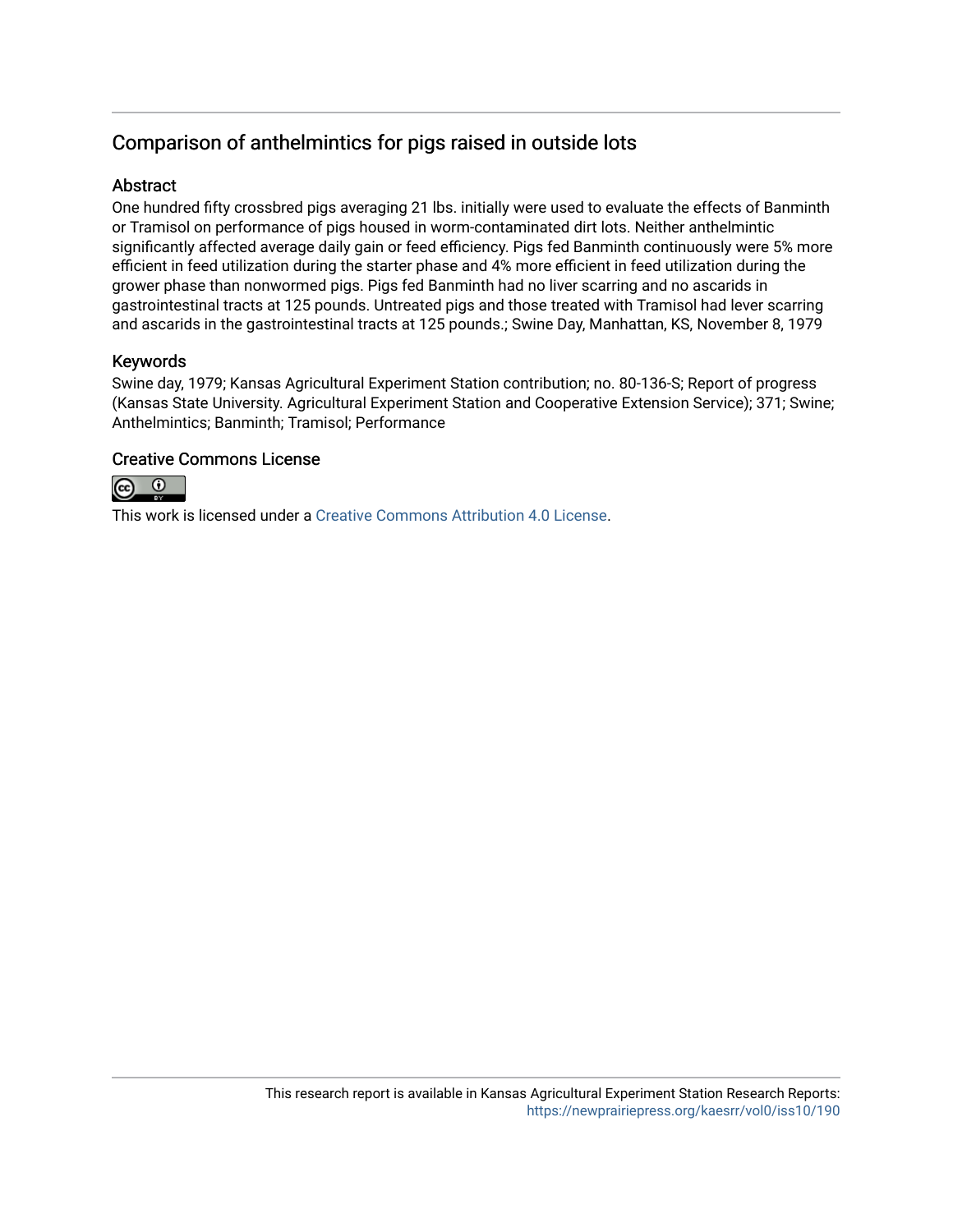## Comparison of anthelmintics for pigs raised in outside lots

## **Abstract**

One hundred fifty crossbred pigs averaging 21 lbs. initially were used to evaluate the effects of Banminth or Tramisol on performance of pigs housed in worm-contaminated dirt lots. Neither anthelmintic significantly affected average daily gain or feed efficiency. Pigs fed Banminth continuously were 5% more efficient in feed utilization during the starter phase and 4% more efficient in feed utilization during the grower phase than nonwormed pigs. Pigs fed Banminth had no liver scarring and no ascarids in gastrointestinal tracts at 125 pounds. Untreated pigs and those treated with Tramisol had lever scarring and ascarids in the gastrointestinal tracts at 125 pounds.; Swine Day, Manhattan, KS, November 8, 1979

### Keywords

Swine day, 1979; Kansas Agricultural Experiment Station contribution; no. 80-136-S; Report of progress (Kansas State University. Agricultural Experiment Station and Cooperative Extension Service); 371; Swine; Anthelmintics; Banminth; Tramisol; Performance

### Creative Commons License



This work is licensed under a [Creative Commons Attribution 4.0 License](https://creativecommons.org/licenses/by/4.0/).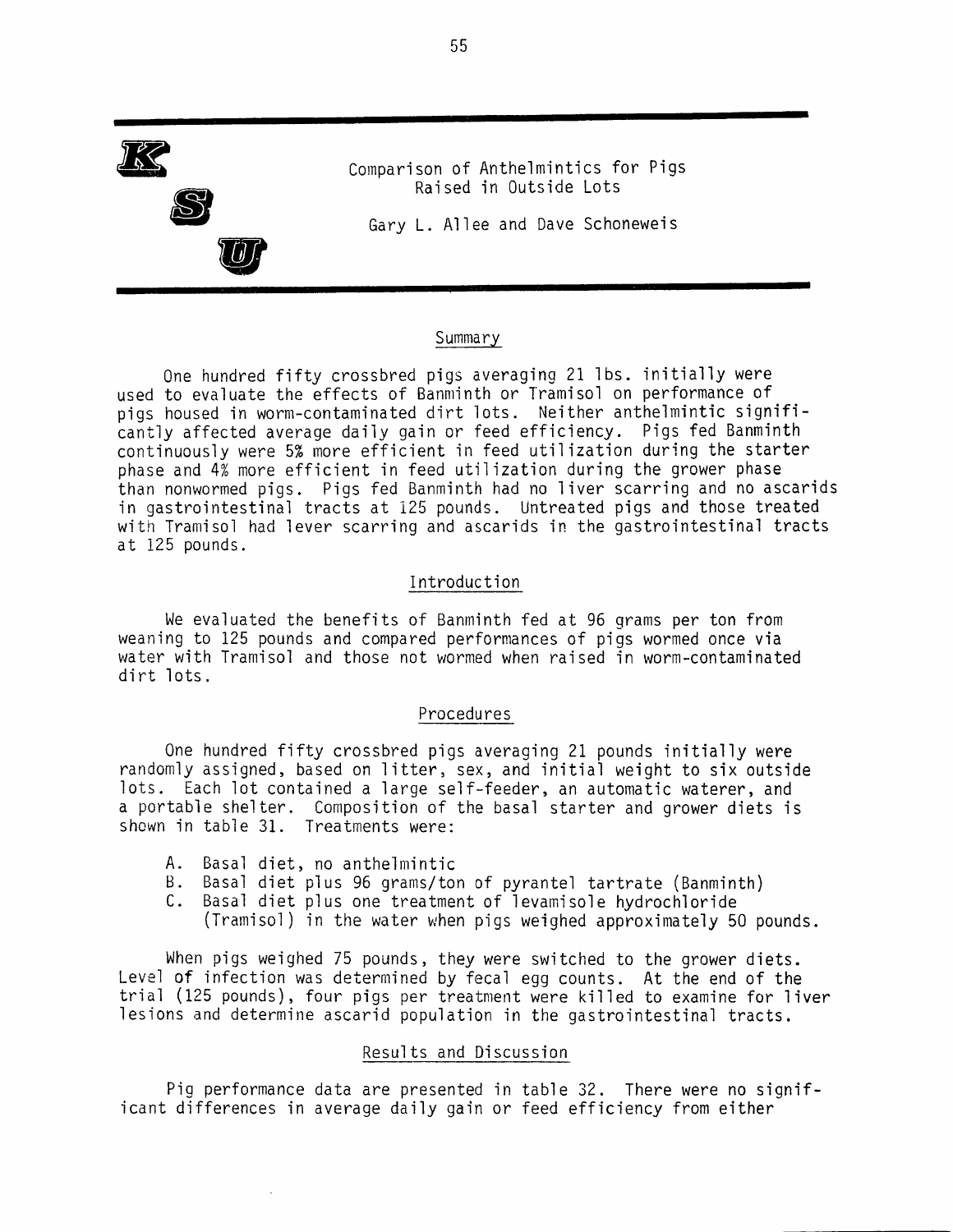

#### Summary

One hundred fifty crossbred pigs averaging 21 lbs. initially were used to evaluate the effects of Banminth or Tramisol on performance of pigs housed in worm-contaminated dirt lots. Neither anthelmintic significantly affected average daily gain or feed efficiency. Pigs fed Banminth continuously were 5% more efficient in feed utilization during the starter phase and 4% more efficient in feed utilization during the grower phase than nonwormed pigs. Pigs fed Banminth had no liver scarring and no ascarids in gastrointestinal tracts at 125 pounds. Untreated pigs and those treated with Tramisol had lever scarring and ascarids in the gastrointestinal tracts at 125 pounds.

#### Introduction

We evaluated the benefits of Banminth fed at 96 grams per ton from weaning to 125 pounds and compared performances of pigs wormed once via water with Tramisol and those not wormed when raised in worm-contaminated dirt lots.

#### Procedures

One hundred fifty crossbred pigs averaging 21 pounds initially were randomly assigned, based on litter, sex, and initial weight to six outside lots. Each lot contained a large self-feeder, an automatic waterer, and a portable shelter. Composition of the basal starter and grower diets is shown in table 31. Treatments were:

- A. Basal diet, no anthelmintic
- B. Basal diet plus 96 grams/ton of pyrantel tartrate (Banminth)
- C. Basal diet plus one treatment of levamisole hydrochloride
	- (Tramisol) in the water when pigs weighed approximately 50 pounds.

When pigs weighed 75 pounds, they were switched to the grower diets. Level of infection was determined by fecal egg counts. At the end of the trial (125 pounds), four pigs per treatment were killed to examine for liver lesions and determine ascarid population in the gastrointestinal tracts.

#### Results and Discussion

Pig performance data are presented in table 32. There were no significant differences in average daily gain or feed efficiency from either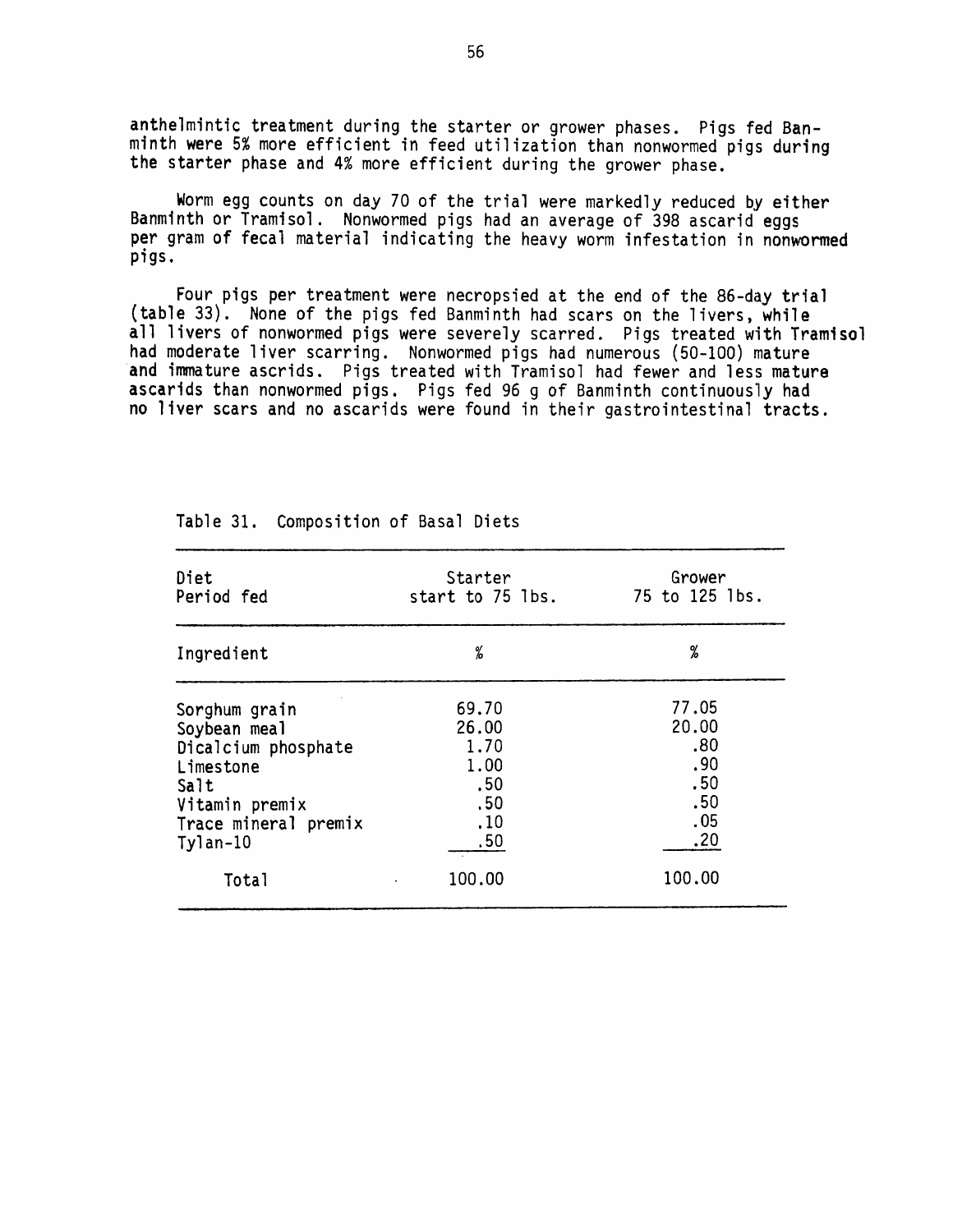anthelmintic treatment during the starter or grower phases. Pigs fed Banminth were 5% more efficient in feed utilization than nonwormed pigs during the starter phase and 4% more efficient during the grower phase.

Worm egg counts on day 70 of the trial were markedly reduced by either Banminth or Tramisol. Nonwormed pigs had an average of 398 ascarid eggs per gram of fecal material indicating the heavy worm infestation in nonwormed pigs.

Four pigs per treatment were necropsied at the end of the 86-day trial (table 33). None of the pigs fed Banminth had scars on the livers, while all livers of nonwormed pigs were severely scarred. Pigs treated with Tramisol had moderate liver scarring. Nonwormed pigs had numerous (50-100) mature and immature ascrids. Pigs treated with Tramisol had fewer and less mature ascarids than nonwormed pigs. Pigs fed 96 g of Banminth continuously had no liver scars and no ascarids were found in their gastrointestinal tracts.

| Diet                 | Starter          | Grower         |
|----------------------|------------------|----------------|
| Period fed           | start to 75 lbs. | 75 to 125 lbs. |
| Ingredient           | ℅                | %              |
| Sorghum grain        | 69.70            | 77.05          |
| Soybean meal         | 26.00            | 20.00          |
| Dicalcium phosphate  | 1.70             | .80            |
| Limestone            | 1.00             | .90            |
| Salt                 | .50              | .50            |
| Vitamin premix       | .50              | .50            |
| Trace mineral premix | .10              | .05            |
| $Ty$ lan-10          | .50              | .20            |
| Total                | 100.00           | 100.00         |

Table 31. Composition of Basal Diets